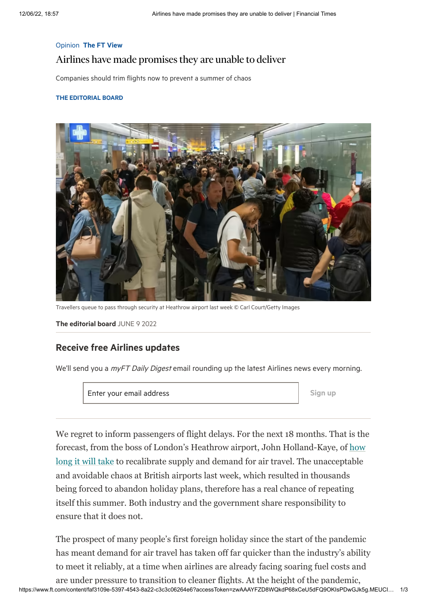#### Opinion The FT [View](https://www.ft.com/ft-view)

# Airlines have made promises they are unable to deliver

#### THE [EDITORIAL](https://www.ft.com/ft-view) BOARD



Travellers queue to pass through security at Heathrow airport last week © Carl Court/Getty Images

The [editorial](https://www.ft.com/ft-view) board JUNE 9 2022

### Receive free Airlines updates

We'll send you a myFT Daily Digest email rounding up the latest Airlines news every morning.

Enter your email address and states are set of the Sign up

We regret to inform passengers of flight delays. For the next 18 months. That is the forecast, from the boss of London's Heathrow airport, John Holland-Kaye, of how long it will take to recalibrate supply and demand for air travel. The unacceptable and avoidable chaos at British airports last week, which resulted in thousands being forced to abandon holiday plans, therefore has a real chance of repeating itself this summer. Both industry and the government share responsibility to ensure that it does not.

The prospect of many people's first foreign holiday since the start of the pandemic has meant demand for air travel has taken off far quicker than the industry's ability to meet it reliably, at a time when airlines are already facing soaring fuel costs and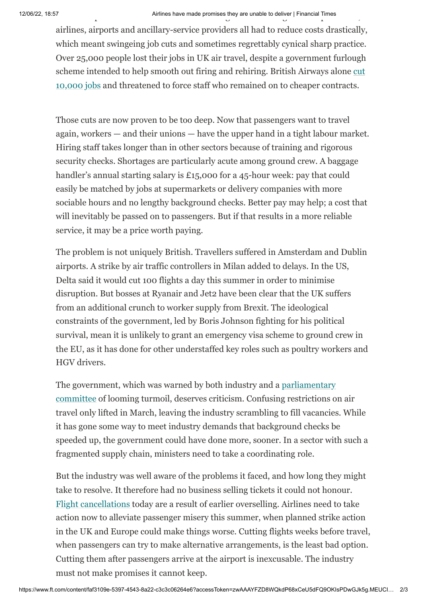## 12/06/22, 18:57 Airlines have made promises they are unable to deliver | Financial Times<br>مارس میں ایک مطابق اللہ کی ایک مطابق کی ایک مطابق اللہ کی ایک مطابق اللہ کی ایک مطابق اللہ کی ایک مطابق اللہ ک

airlines, airports and ancillary-service providers all had to reduce costs drastically, which meant swingeing job cuts and sometimes regrettably cynical sharp practice. Over 25,000 people lost their jobs in UK air travel, despite a government furlough [scheme intended to help smooth out firing and rehiring. British Airways alone cut](https://www.ft.com/content/46aab9ad-8429-436e-937d-2f6cfbed7b51) 10,000 jobs and threatened to force staff who remained on to cheaper contracts.

Those cuts are now proven to be too deep. Now that passengers want to travel again, workers — and their unions — have the upper hand in a tight labour market. Hiring staff takes longer than in other sectors because of training and rigorous security checks. Shortages are particularly acute among ground crew. A baggage handler's annual starting salary is £15,000 for a 45-hour week: pay that could easily be matched by jobs at supermarkets or delivery companies with more sociable hours and no lengthy background checks. Better pay may help; a cost that will inevitably be passed on to passengers. But if that results in a more reliable service, it may be a price worth paying.

The problem is not uniquely British. Travellers suffered in Amsterdam and Dublin airports. A strike by air traffic controllers in Milan added to delays. In the US, Delta said it would cut 100 flights a day this summer in order to minimise disruption. But bosses at Ryanair and Jet2 have been clear that the UK suffers from an additional crunch to worker supply from Brexit. The ideological constraints of the government, led by Boris Johnson fighting for his political survival, mean it is unlikely to grant an emergency visa scheme to ground crew in the EU, as it has done for other understaffed key roles such as poultry workers and HGV drivers.

The government, which was warned by both industry and a parliamentary [committee of looming turmoil, deserves criticism. Confusing restrictions o](https://committees.parliament.uk/publications/21967/documents/163200/default/)n air travel only lifted in March, leaving the industry scrambling to fill vacancies. While it has gone some way to meet industry demands that background checks be speeded up, the government could have done more, sooner. In a sector with such a fragmented supply chain, ministers need to take a coordinating role.

But the industry was well aware of the problems it faced, and how long they might take to resolve. It therefore had no business selling tickets it could not honour. [Flight cancellations](https://www.ft.com/content/633965b4-4c08-4c74-bb3f-130fa6986080) today are a result of earlier overselling. Airlines need to take action now to alleviate passenger misery this summer, when planned strike action in the UK and Europe could make things worse. Cutting flights weeks before travel, when passengers can try to make alternative arrangements, is the least bad option. Cutting them after passengers arrive at the airport is inexcusable. The industry must not make promises it cannot keep.